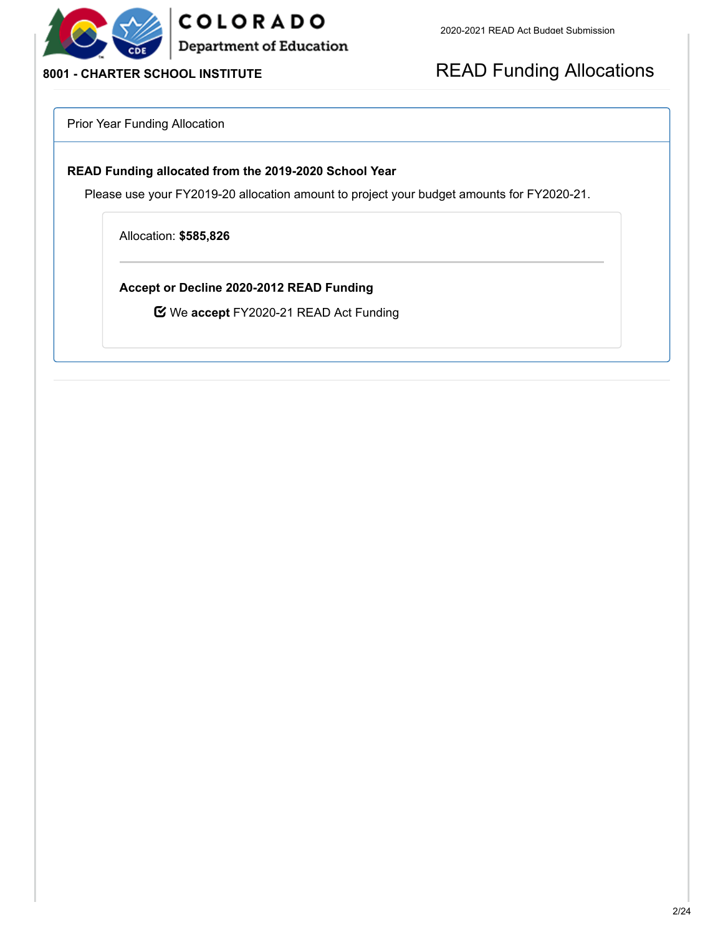

# COLORADO Department of Education

# READ Funding Allocations

### Prior Year Funding Allocation

#### **READ Funding allocated from the 2019-2020 School Year**

Please use your FY2019-20 allocation amount to project your budget amounts for FY2020-21.

Allocation: **\$585,826**

**Accept or Decline 2020-2012 READ Funding**

We **accept** FY2020-21 READ Act Funding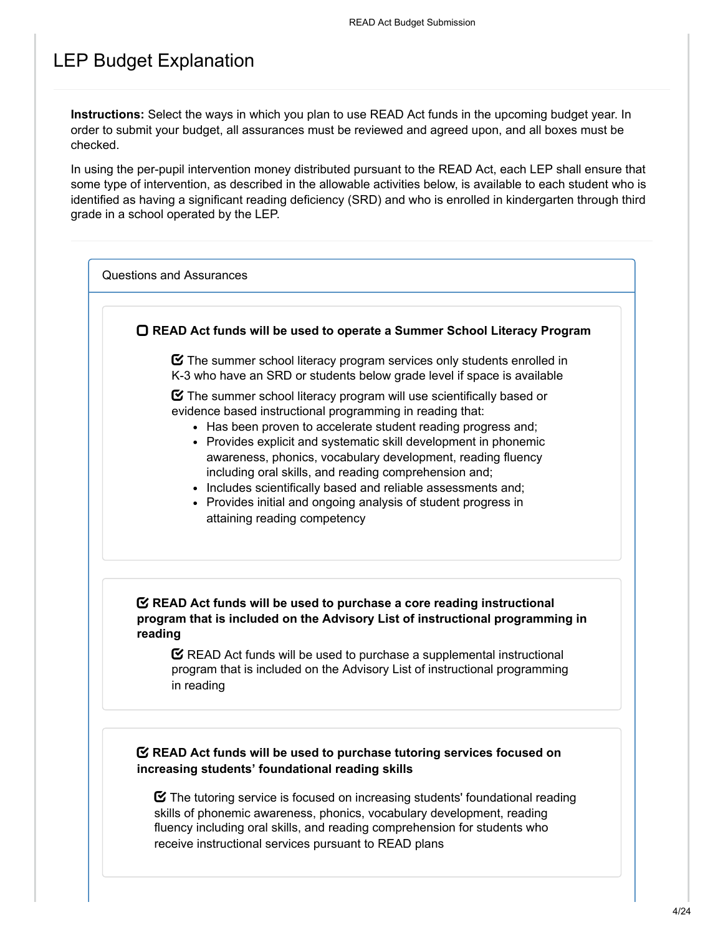## LEP Budget Explanation

**Instructions:** Select the ways in which you plan to use READ Act funds in the upcoming budget year. In order to submit your budget, all assurances must be reviewed and agreed upon, and all boxes must be checked.

In using the per-pupil intervention money distributed pursuant to the READ Act, each LEP shall ensure that some type of intervention, as described in the allowable activities below, is available to each student who is identified as having a significant reading deficiency (SRD) and who is enrolled in kindergarten through third grade in a school operated by the LEP.

Questions and Assurances

**READ Act funds will be used to operate a Summer School Literacy Program**

 $\boldsymbol{\heartsuit}$  The summer school literacy program services only students enrolled in K-3 who have an SRD or students below grade level if space is available

 $\boldsymbol{\Xi}$  The summer school literacy program will use scientifically based or evidence based instructional programming in reading that:

- Has been proven to accelerate student reading progress and:
- Provides explicit and systematic skill development in phonemic awareness, phonics, vocabulary development, reading fluency including oral skills, and reading comprehension and;
- Includes scientifically based and reliable assessments and;
- Provides initial and ongoing analysis of student progress in attaining reading competency

### **READ Act funds will be used to purchase a core reading instructional program that is included on the Advisory List of instructional programming in reading**

 $\mathbf C$  READ Act funds will be used to purchase a supplemental instructional program that is included on the Advisory List of instructional programming in reading

### **READ Act funds will be used to purchase tutoring services focused on increasing students' foundational reading skills**

 $\boldsymbol{\heartsuit}$  The tutoring service is focused on increasing students' foundational reading skills of phonemic awareness, phonics, vocabulary development, reading fluency including oral skills, and reading comprehension for students who receive instructional services pursuant to READ plans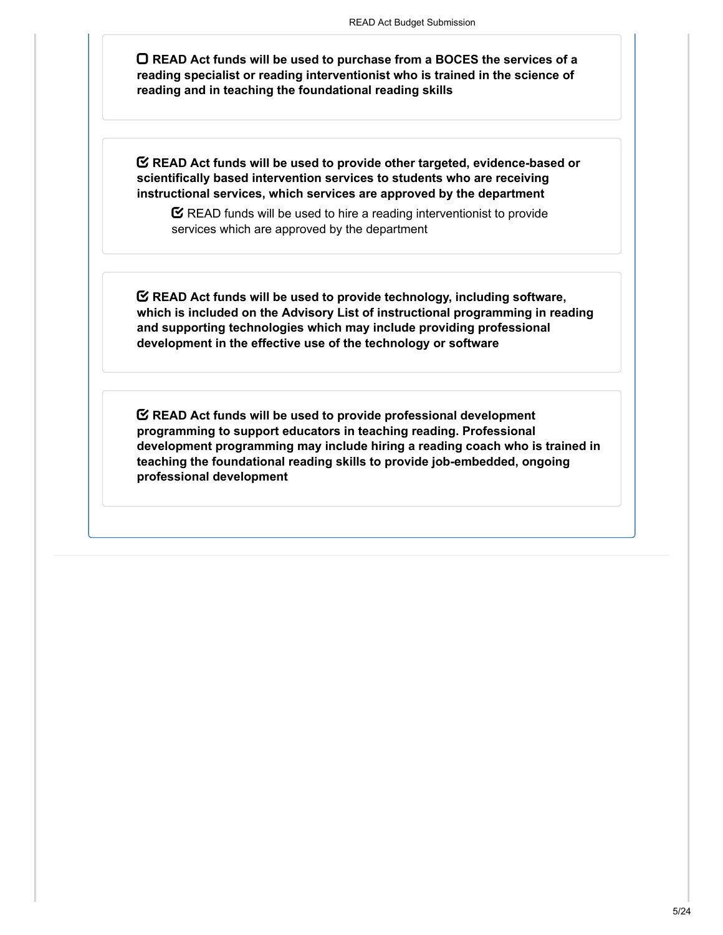**READ Act funds will be used to purchase from a BOCES the services of a reading specialist or reading interventionist who is trained in the science of reading and in teaching the foundational reading skills**

**READ Act funds will be used to provide other targeted, evidence-based or scientifically based intervention services to students who are receiving instructional services, which services are approved by the department**

 $\mathbf C$  READ funds will be used to hire a reading interventionist to provide services which are approved by the department

**READ Act funds will be used to provide technology, including software, which is included on the Advisory List of instructional programming in reading and supporting technologies which may include providing professional development in the effective use of the technology or software**

**READ Act funds will be used to provide professional development programming to support educators in teaching reading. Professional development programming may include hiring a reading coach who is trained in teaching the foundational reading skills to provide job-embedded, ongoing professional development**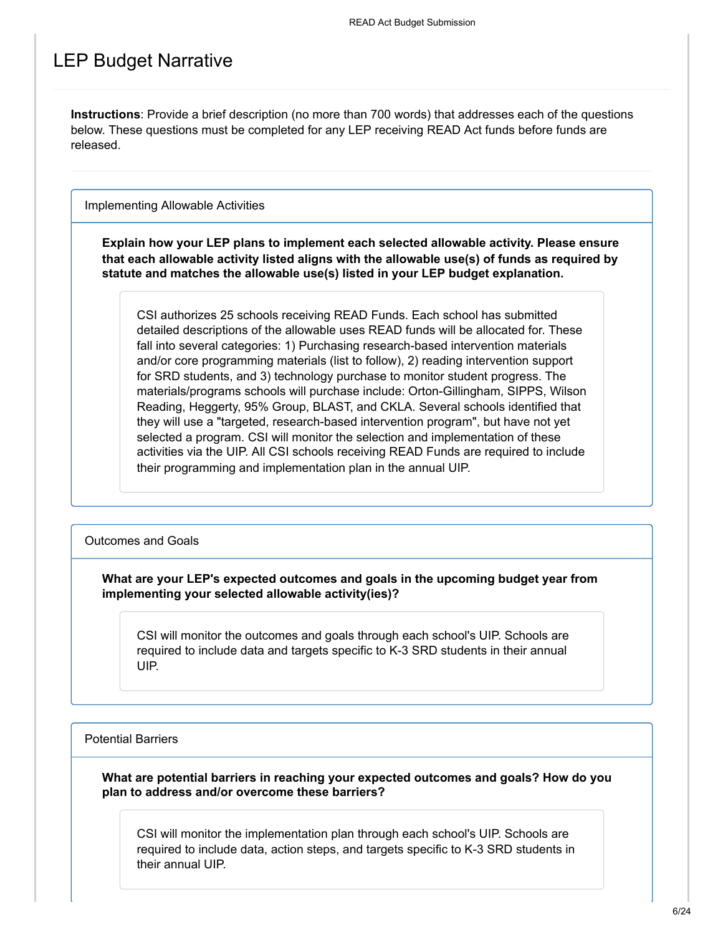## LEP Budget Narrative

**Instructions**: Provide a brief description (no more than 700 words) that addresses each of the questions below. These questions must be completed for any LEP receiving READ Act funds before funds are released.

Implementing Allowable Activities

**Explain how your LEP plans to implement each selected allowable activity. Please ensure that each allowable activity listed aligns with the allowable use(s) of funds as required by statute and matches the allowable use(s) listed in your LEP budget explanation.**

CSI authorizes 25 schools receiving READ Funds. Each school has submitted detailed descriptions of the allowable uses READ funds will be allocated for. These fall into several categories: 1) Purchasing research-based intervention materials and/or core programming materials (list to follow), 2) reading intervention support for SRD students, and 3) technology purchase to monitor student progress. The materials/programs schools will purchase include: Orton-Gillingham, SIPPS, Wilson Reading, Heggerty, 95% Group, BLAST, and CKLA. Several schools identified that they will use a "targeted, research-based intervention program", but have not yet selected a program. CSI will monitor the selection and implementation of these activities via the UIP. All CSI schools receiving READ Funds are required to include their programming and implementation plan in the annual UIP.

Outcomes and Goals

**What are your LEP's expected outcomes and goals in the upcoming budget year from implementing your selected allowable activity(ies)?**

CSI will monitor the outcomes and goals through each school's UIP. Schools are required to include data and targets specific to K-3 SRD students in their annual UIP.

Potential Barriers

**What are potential barriers in reaching your expected outcomes and goals? How do you plan to address and/or overcome these barriers?**

CSI will monitor the implementation plan through each school's UIP. Schools are required to include data, action steps, and targets specific to K-3 SRD students in their annual UIP.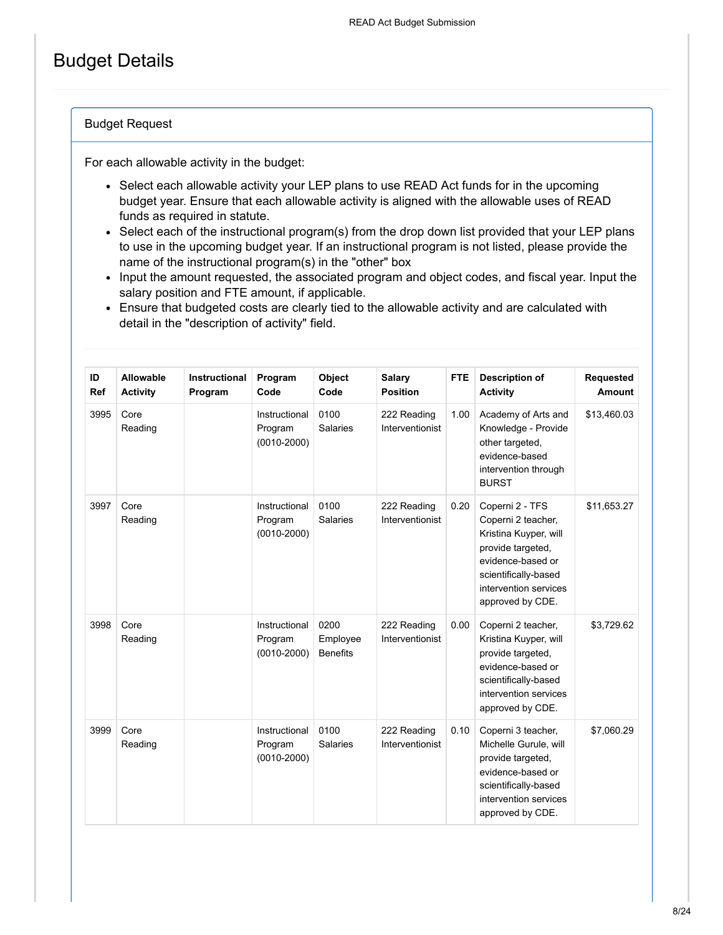# Budget Details

### Budget Request

For each allowable activity in the budget:

- Select each allowable activity your LEP plans to use READ Act funds for in the upcoming budget year. Ensure that each allowable activity is aligned with the allowable uses of READ funds as required in statute.
- Select each of the instructional program(s) from the drop down list provided that your LEP plans to use in the upcoming budget year. If an instructional program is not listed, please provide the name of the instructional program(s) in the "other" box
- Input the amount requested, the associated program and object codes, and fiscal year. Input the salary position and FTE amount, if applicable.
- Ensure that budgeted costs are clearly tied to the allowable activity and are calculated with detail in the "description of activity" field.

| ID<br>Ref | Allowable<br><b>Activity</b> | Instructional<br>Program | Program<br>Code                             | Object<br>Code                      | <b>Salary</b><br><b>Position</b> | <b>FTE</b> | <b>Description of</b><br><b>Activity</b>                                                                                                                                      | <b>Requested</b><br><b>Amount</b> |
|-----------|------------------------------|--------------------------|---------------------------------------------|-------------------------------------|----------------------------------|------------|-------------------------------------------------------------------------------------------------------------------------------------------------------------------------------|-----------------------------------|
| 3995      | Core<br>Reading              |                          | Instructional<br>Program<br>$(0010 - 2000)$ | 0100<br><b>Salaries</b>             | 222 Reading<br>Interventionist   | 1.00       | Academy of Arts and<br>Knowledge - Provide<br>other targeted,<br>evidence-based<br>intervention through<br><b>BURST</b>                                                       | \$13,460.03                       |
| 3997      | Core<br>Reading              |                          | Instructional<br>Program<br>$(0010 - 2000)$ | 0100<br><b>Salaries</b>             | 222 Reading<br>Interventionist   | 0.20       | Coperni 2 - TFS<br>Coperni 2 teacher,<br>Kristina Kuyper, will<br>provide targeted,<br>evidence-based or<br>scientifically-based<br>intervention services<br>approved by CDE. | \$11,653.27                       |
| 3998      | Core<br>Reading              |                          | Instructional<br>Program<br>$(0010 - 2000)$ | 0200<br>Employee<br><b>Benefits</b> | 222 Reading<br>Interventionist   | 0.00       | Coperni 2 teacher,<br>Kristina Kuyper, will<br>provide targeted,<br>evidence-based or<br>scientifically-based<br>intervention services<br>approved by CDE.                    | \$3,729.62                        |
| 3999      | Core<br>Reading              |                          | Instructional<br>Program<br>$(0010 - 2000)$ | 0100<br><b>Salaries</b>             | 222 Reading<br>Interventionist   | 0.10       | Coperni 3 teacher,<br>Michelle Gurule, will<br>provide targeted,<br>evidence-based or<br>scientifically-based<br>intervention services<br>approved by CDE.                    | \$7,060.29                        |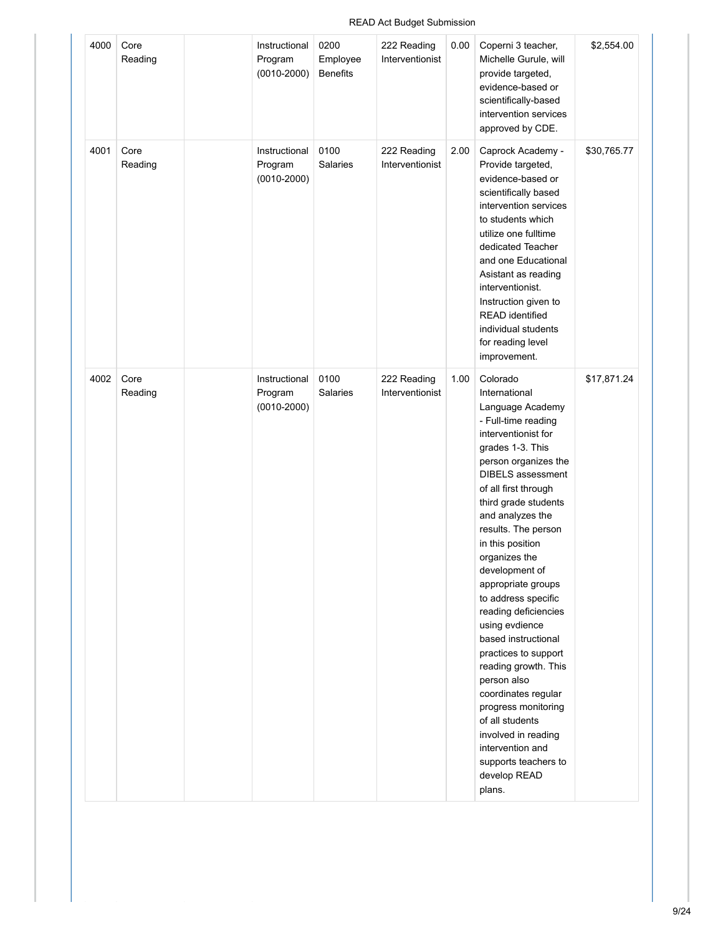| 4000 | Core<br>Reading | Instructional<br>Program<br>$(0010 - 2000)$ | 0200<br>Employee<br><b>Benefits</b> | 222 Reading<br>Interventionist | 0.00 | Coperni 3 teacher,<br>Michelle Gurule, will<br>provide targeted,<br>evidence-based or<br>scientifically-based<br>intervention services<br>approved by CDE.                                                                                                                                                                                                                                                                                                                                                                                                                                                                                                       | \$2,554.00  |
|------|-----------------|---------------------------------------------|-------------------------------------|--------------------------------|------|------------------------------------------------------------------------------------------------------------------------------------------------------------------------------------------------------------------------------------------------------------------------------------------------------------------------------------------------------------------------------------------------------------------------------------------------------------------------------------------------------------------------------------------------------------------------------------------------------------------------------------------------------------------|-------------|
| 4001 | Core<br>Reading | Instructional<br>Program<br>$(0010 - 2000)$ | 0100<br>Salaries                    | 222 Reading<br>Interventionist | 2.00 | Caprock Academy -<br>Provide targeted,<br>evidence-based or<br>scientifically based<br>intervention services<br>to students which<br>utilize one fulltime<br>dedicated Teacher<br>and one Educational<br>Asistant as reading<br>interventionist.<br>Instruction given to<br><b>READ</b> identified<br>individual students<br>for reading level<br>improvement.                                                                                                                                                                                                                                                                                                   | \$30,765.77 |
| 4002 | Core<br>Reading | Instructional<br>Program<br>$(0010 - 2000)$ | 0100<br><b>Salaries</b>             | 222 Reading<br>Interventionist | 1.00 | Colorado<br>International<br>Language Academy<br>- Full-time reading<br>interventionist for<br>grades 1-3. This<br>person organizes the<br><b>DIBELS</b> assessment<br>of all first through<br>third grade students<br>and analyzes the<br>results. The person<br>in this position<br>organizes the<br>development of<br>appropriate groups<br>to address specific<br>reading deficiencies<br>using evdience<br>based instructional<br>practices to support<br>reading growth. This<br>person also<br>coordinates regular<br>progress monitoring<br>of all students<br>involved in reading<br>intervention and<br>supports teachers to<br>develop READ<br>plans. | \$17,871.24 |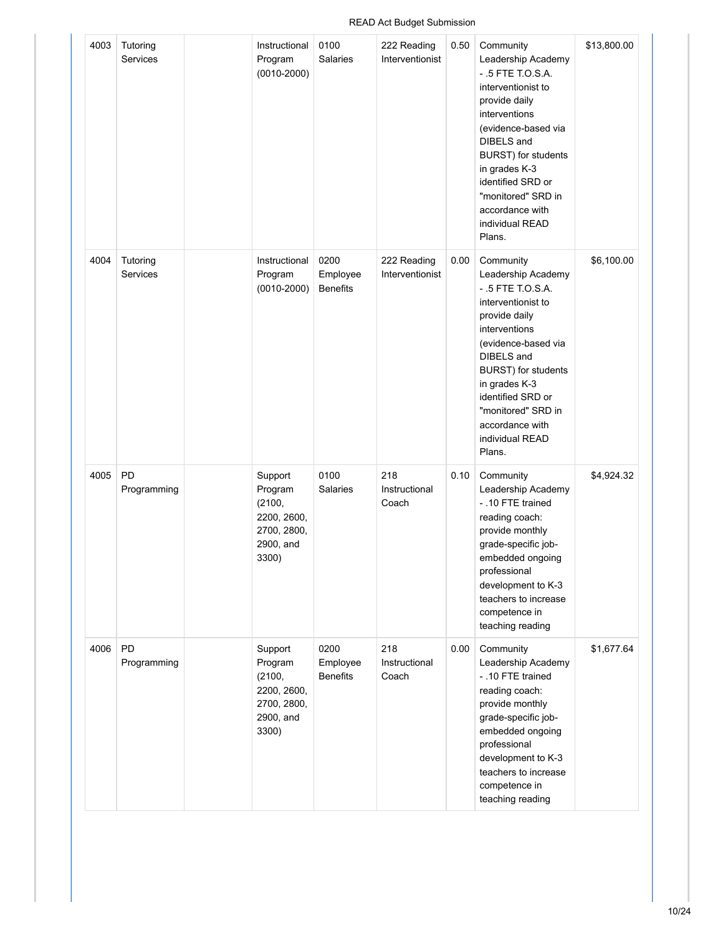| 4003 | Tutoring<br>Services        | Instructional<br>Program<br>$(0010 - 2000)$                                      | 0100<br><b>Salaries</b>             | 222 Reading<br>Interventionist | 0.50 | Community<br>Leadership Academy<br>$-5$ FTE T.O.S.A.<br>interventionist to<br>provide daily<br>interventions<br>(evidence-based via<br>DIBELS and<br>BURST) for students<br>in grades K-3<br>identified SRD or<br>"monitored" SRD in<br>accordance with<br>individual READ<br>Plans. | \$13,800.00 |
|------|-----------------------------|----------------------------------------------------------------------------------|-------------------------------------|--------------------------------|------|--------------------------------------------------------------------------------------------------------------------------------------------------------------------------------------------------------------------------------------------------------------------------------------|-------------|
| 4004 | Tutoring<br><b>Services</b> | Instructional<br>Program<br>$(0010 - 2000)$                                      | 0200<br>Employee<br><b>Benefits</b> | 222 Reading<br>Interventionist | 0.00 | Community<br>Leadership Academy<br>$-5$ FTE T.O.S.A.<br>interventionist to<br>provide daily<br>interventions<br>(evidence-based via<br>DIBELS and<br>BURST) for students<br>in grades K-3<br>identified SRD or<br>"monitored" SRD in<br>accordance with<br>individual READ<br>Plans. | \$6,100.00  |
| 4005 | PD<br>Programming           | Support<br>Program<br>(2100,<br>2200, 2600,<br>2700, 2800,<br>2900, and<br>3300) | 0100<br>Salaries                    | 218<br>Instructional<br>Coach  | 0.10 | Community<br>Leadership Academy<br>- .10 FTE trained<br>reading coach:<br>provide monthly<br>grade-specific job-<br>embedded ongoing<br>professional<br>development to K-3<br>teachers to increase<br>competence in<br>teaching reading                                              | \$4,924.32  |
| 4006 | PD<br>Programming           | Support<br>Program<br>(2100,<br>2200, 2600,<br>2700, 2800,<br>2900, and<br>3300) | 0200<br>Employee<br><b>Benefits</b> | 218<br>Instructional<br>Coach  | 0.00 | Community<br>Leadership Academy<br>- .10 FTE trained<br>reading coach:<br>provide monthly<br>grade-specific job-<br>embedded ongoing<br>professional<br>development to K-3<br>teachers to increase<br>competence in<br>teaching reading                                              | \$1,677.64  |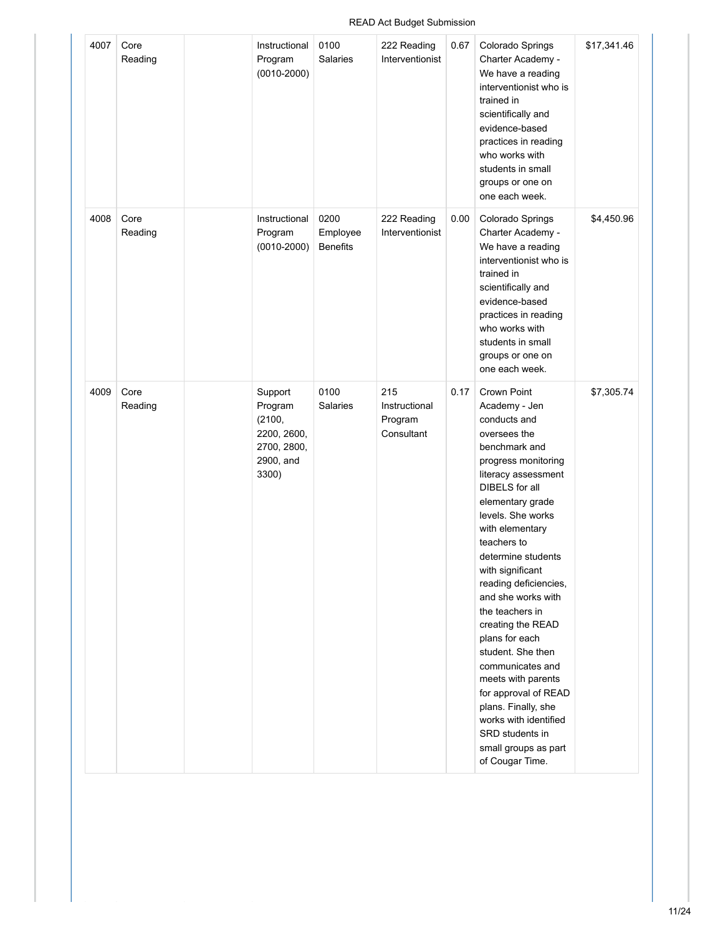| 4007 | Core<br>Reading | Instructional<br>Program<br>$(0010 - 2000)$                                      | 0100<br>Salaries                    | 222 Reading<br>Interventionist                | 0.67 | Colorado Springs<br>Charter Academy -<br>We have a reading<br>interventionist who is<br>trained in<br>scientifically and<br>evidence-based<br>practices in reading<br>who works with<br>students in small<br>groups or one on<br>one each week.                                                                                                                                                                                                                                                                                                                                         | \$17,341.46 |
|------|-----------------|----------------------------------------------------------------------------------|-------------------------------------|-----------------------------------------------|------|-----------------------------------------------------------------------------------------------------------------------------------------------------------------------------------------------------------------------------------------------------------------------------------------------------------------------------------------------------------------------------------------------------------------------------------------------------------------------------------------------------------------------------------------------------------------------------------------|-------------|
| 4008 | Core<br>Reading | Instructional<br>Program<br>$(0010 - 2000)$                                      | 0200<br>Employee<br><b>Benefits</b> | 222 Reading<br>Interventionist                | 0.00 | Colorado Springs<br>Charter Academy -<br>We have a reading<br>interventionist who is<br>trained in<br>scientifically and<br>evidence-based<br>practices in reading<br>who works with<br>students in small<br>groups or one on<br>one each week.                                                                                                                                                                                                                                                                                                                                         | \$4,450.96  |
| 4009 | Core<br>Reading | Support<br>Program<br>(2100,<br>2200, 2600,<br>2700, 2800,<br>2900, and<br>3300) | 0100<br>Salaries                    | 215<br>Instructional<br>Program<br>Consultant | 0.17 | <b>Crown Point</b><br>Academy - Jen<br>conducts and<br>oversees the<br>benchmark and<br>progress monitoring<br>literacy assessment<br>DIBELS for all<br>elementary grade<br>levels. She works<br>with elementary<br>teachers to<br>determine students<br>with significant<br>reading deficiencies,<br>and she works with<br>the teachers in<br>creating the READ<br>plans for each<br>student. She then<br>communicates and<br>meets with parents<br>for approval of READ<br>plans. Finally, she<br>works with identified<br>SRD students in<br>small groups as part<br>of Cougar Time. | \$7,305.74  |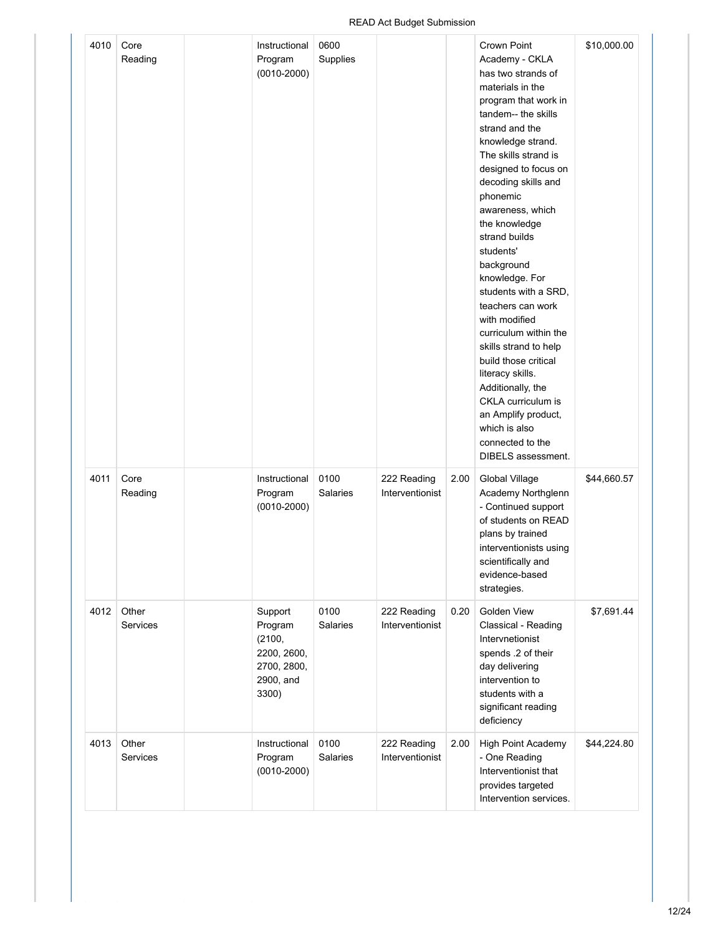| 4010 | Core<br>Reading   | Instructional<br>Program<br>$(0010 - 2000)$                                      | 0600<br>Supplies        |                                |      | Crown Point<br>Academy - CKLA<br>has two strands of<br>materials in the<br>program that work in<br>tandem-- the skills<br>strand and the<br>knowledge strand.<br>The skills strand is<br>designed to focus on<br>decoding skills and<br>phonemic<br>awareness, which<br>the knowledge<br>strand builds<br>students'<br>background<br>knowledge. For<br>students with a SRD,<br>teachers can work<br>with modified<br>curriculum within the<br>skills strand to help<br>build those critical<br>literacy skills.<br>Additionally, the<br>CKLA curriculum is<br>an Amplify product,<br>which is also<br>connected to the<br>DIBELS assessment. | \$10,000.00 |
|------|-------------------|----------------------------------------------------------------------------------|-------------------------|--------------------------------|------|----------------------------------------------------------------------------------------------------------------------------------------------------------------------------------------------------------------------------------------------------------------------------------------------------------------------------------------------------------------------------------------------------------------------------------------------------------------------------------------------------------------------------------------------------------------------------------------------------------------------------------------------|-------------|
| 4011 | Core<br>Reading   | Instructional<br>Program<br>$(0010 - 2000)$                                      | 0100<br><b>Salaries</b> | 222 Reading<br>Interventionist | 2.00 | Global Village<br>Academy Northglenn<br>- Continued support<br>of students on READ<br>plans by trained<br>interventionists using<br>scientifically and<br>evidence-based<br>strategies.                                                                                                                                                                                                                                                                                                                                                                                                                                                      | \$44,660.57 |
| 4012 | Other<br>Services | Support<br>Program<br>(2100,<br>2200, 2600,<br>2700, 2800,<br>2900, and<br>3300) | 0100<br>Salaries        | 222 Reading<br>Interventionist | 0.20 | Golden View<br>Classical - Reading<br>Intervnetionist<br>spends .2 of their<br>day delivering<br>intervention to<br>students with a<br>significant reading<br>deficiency                                                                                                                                                                                                                                                                                                                                                                                                                                                                     | \$7,691.44  |
| 4013 | Other<br>Services | Instructional<br>Program<br>$(0010 - 2000)$                                      | 0100<br>Salaries        | 222 Reading<br>Interventionist | 2.00 | <b>High Point Academy</b><br>- One Reading<br>Interventionist that<br>provides targeted<br>Intervention services.                                                                                                                                                                                                                                                                                                                                                                                                                                                                                                                            | \$44,224.80 |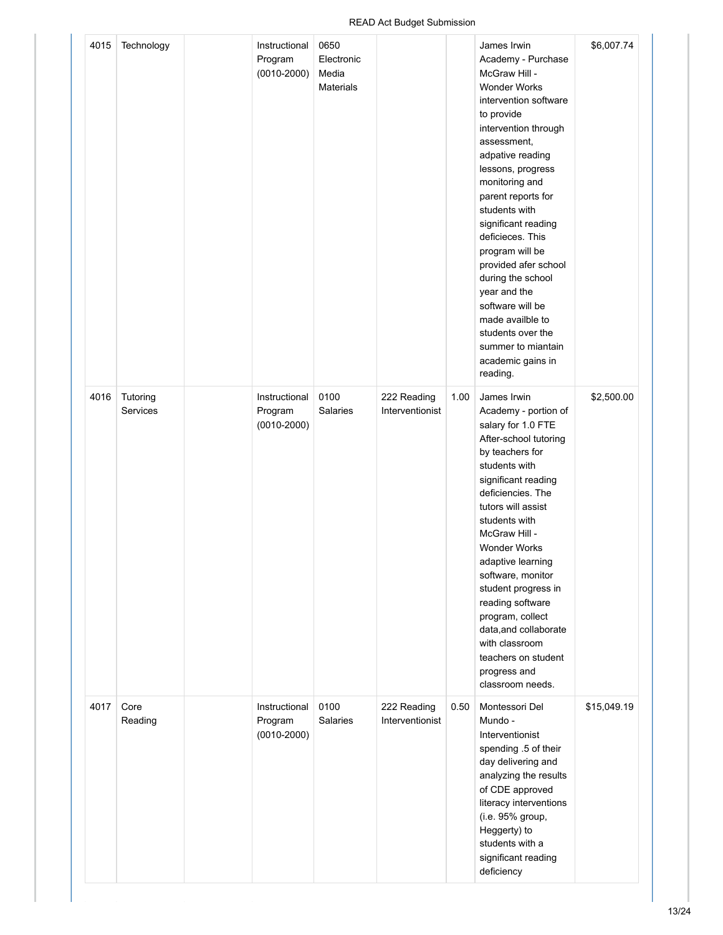| 4015 | Technology           | Instructional<br>Program<br>$(0010 - 2000)$ | 0650<br>Electronic<br>Media<br>Materials |                                |      | James Irwin<br>Academy - Purchase<br>McGraw Hill -<br><b>Wonder Works</b><br>intervention software<br>to provide<br>intervention through<br>assessment,<br>adpative reading<br>lessons, progress<br>monitoring and<br>parent reports for<br>students with<br>significant reading<br>deficieces. This<br>program will be<br>provided afer school<br>during the school<br>year and the<br>software will be<br>made availble to<br>students over the<br>summer to miantain<br>academic gains in<br>reading. | \$6,007.74  |
|------|----------------------|---------------------------------------------|------------------------------------------|--------------------------------|------|----------------------------------------------------------------------------------------------------------------------------------------------------------------------------------------------------------------------------------------------------------------------------------------------------------------------------------------------------------------------------------------------------------------------------------------------------------------------------------------------------------|-------------|
| 4016 | Tutoring<br>Services | Instructional<br>Program<br>$(0010 - 2000)$ | 0100<br>Salaries                         | 222 Reading<br>Interventionist | 1.00 | James Irwin<br>Academy - portion of<br>salary for 1.0 FTE<br>After-school tutoring<br>by teachers for<br>students with<br>significant reading<br>deficiencies. The<br>tutors will assist<br>students with<br>McGraw Hill -<br><b>Wonder Works</b><br>adaptive learning<br>software, monitor<br>student progress in<br>reading software<br>program, collect<br>data, and collaborate<br>with classroom<br>teachers on student<br>progress and<br>classroom needs.                                         | \$2,500.00  |
| 4017 | Core<br>Reading      | Instructional<br>Program<br>$(0010 - 2000)$ | 0100<br>Salaries                         | 222 Reading<br>Interventionist | 0.50 | Montessori Del<br>Mundo -<br>Interventionist<br>spending .5 of their<br>day delivering and<br>analyzing the results<br>of CDE approved<br>literacy interventions<br>(i.e. 95% group,<br>Heggerty) to<br>students with a<br>significant reading<br>deficiency                                                                                                                                                                                                                                             | \$15,049.19 |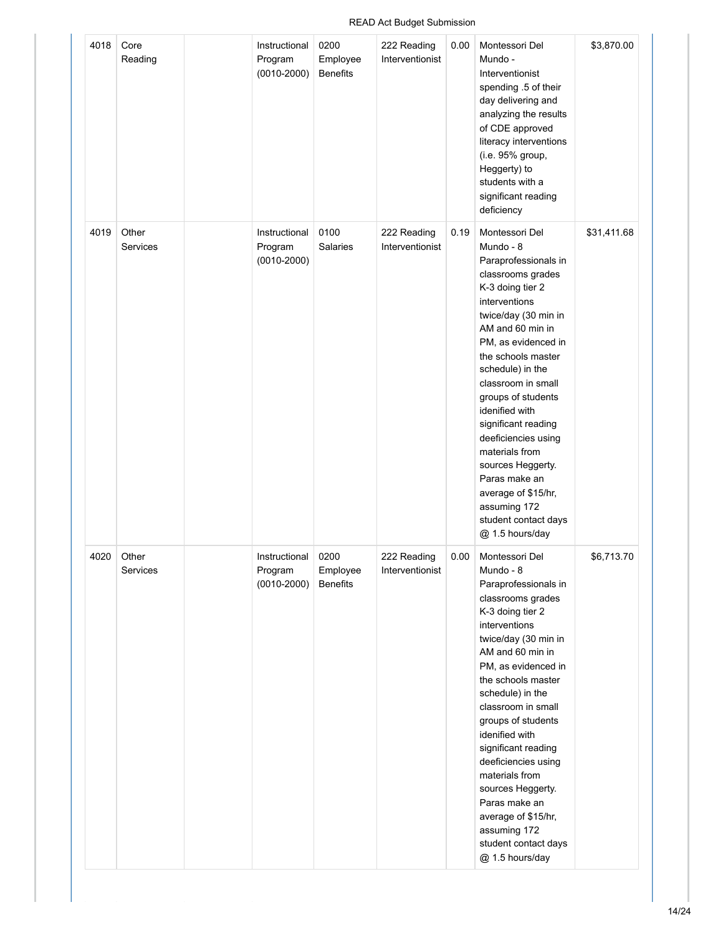| 4018 | Core<br>Reading   | Instructional<br>Program<br>$(0010 - 2000)$ | 0200<br>Employee<br><b>Benefits</b> | 222 Reading<br>Interventionist | 0.00 | Montessori Del<br>Mundo -<br>Interventionist<br>spending .5 of their<br>day delivering and<br>analyzing the results<br>of CDE approved<br>literacy interventions<br>(i.e. 95% group,<br>Heggerty) to<br>students with a<br>significant reading<br>deficiency                                                                                                                                                                                                                     | \$3,870.00  |
|------|-------------------|---------------------------------------------|-------------------------------------|--------------------------------|------|----------------------------------------------------------------------------------------------------------------------------------------------------------------------------------------------------------------------------------------------------------------------------------------------------------------------------------------------------------------------------------------------------------------------------------------------------------------------------------|-------------|
| 4019 | Other<br>Services | Instructional<br>Program<br>$(0010 - 2000)$ | 0100<br>Salaries                    | 222 Reading<br>Interventionist | 0.19 | Montessori Del<br>Mundo - 8<br>Paraprofessionals in<br>classrooms grades<br>K-3 doing tier 2<br>interventions<br>twice/day (30 min in<br>AM and 60 min in<br>PM, as evidenced in<br>the schools master<br>schedule) in the<br>classroom in small<br>groups of students<br>idenified with<br>significant reading<br>deeficiencies using<br>materials from<br>sources Heggerty.<br>Paras make an<br>average of \$15/hr,<br>assuming 172<br>student contact days<br>@ 1.5 hours/day | \$31,411.68 |
| 4020 | Other<br>Services | Instructional<br>Program<br>$(0010 - 2000)$ | 0200<br>Employee<br><b>Benefits</b> | 222 Reading<br>Interventionist | 0.00 | Montessori Del<br>Mundo - 8<br>Paraprofessionals in<br>classrooms grades<br>K-3 doing tier 2<br>interventions<br>twice/day (30 min in<br>AM and 60 min in<br>PM, as evidenced in<br>the schools master<br>schedule) in the<br>classroom in small<br>groups of students<br>idenified with<br>significant reading<br>deeficiencies using<br>materials from<br>sources Heggerty.<br>Paras make an<br>average of \$15/hr,<br>assuming 172<br>student contact days<br>@ 1.5 hours/day | \$6,713.70  |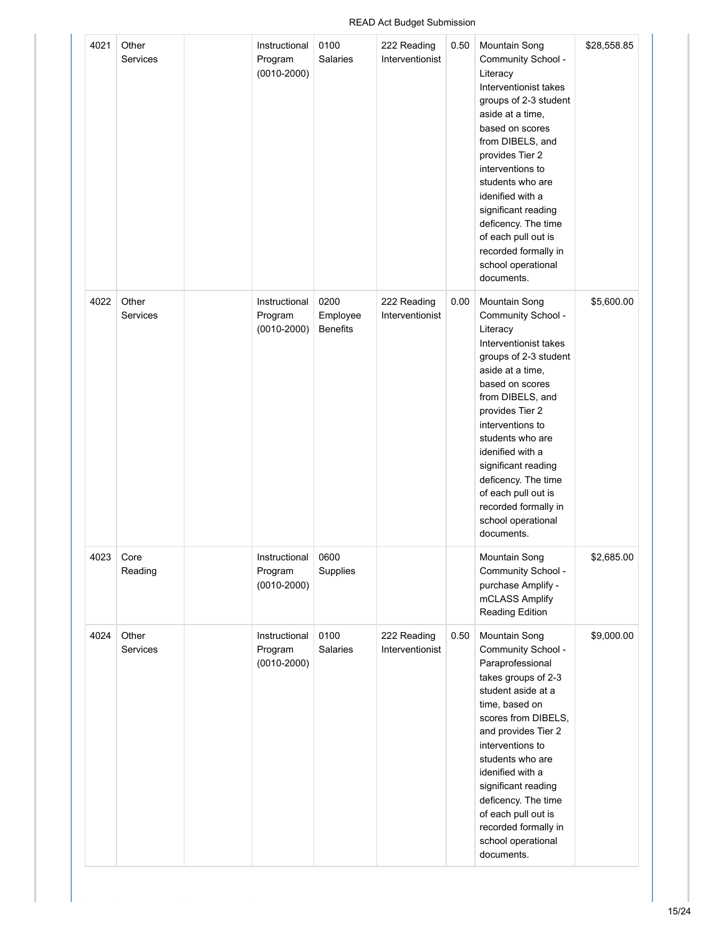#### 4021 Other Services Instructional Program (0010-2000) 0100 Salaries 222 Reading Interventionist 0.50 Mountain Song Community School - Literacy Interventionist takes groups of 2-3 student aside at a time, based on scores from DIBELS, and provides Tier 2 interventions to students who are idenified with a significant reading deficency. The time of each pull out is recorded formally in school operational documents. \$28,558.85 4022 Other Services Instructional Program (0010-2000) 0200 Employee Benefits 222 Reading Interventionist 0.00 Mountain Song Community School - **Literacy** Interventionist takes groups of 2-3 student aside at a time, based on scores from DIBELS, and provides Tier 2 interventions to students who are idenified with a significant reading deficency. The time of each pull out is recorded formally in school operational documents. \$5,600.00 4023 Core Reading Instructional Program (0010-2000) 0600 Supplies Mountain Song Community School purchase Amplify mCLASS Amplify Reading Edition \$2,685.00 4024 Other Services Instructional Program (0010-2000) 0100 Salaries 222 Reading Interventionist 0.50 Mountain Song Community School - Paraprofessional takes groups of 2-3 student aside at a time, based on scores from DIBELS, and provides Tier 2 interventions to students who are idenified with a significant reading deficency. The time of each pull out is recorded formally in school operational documents. \$9,000.00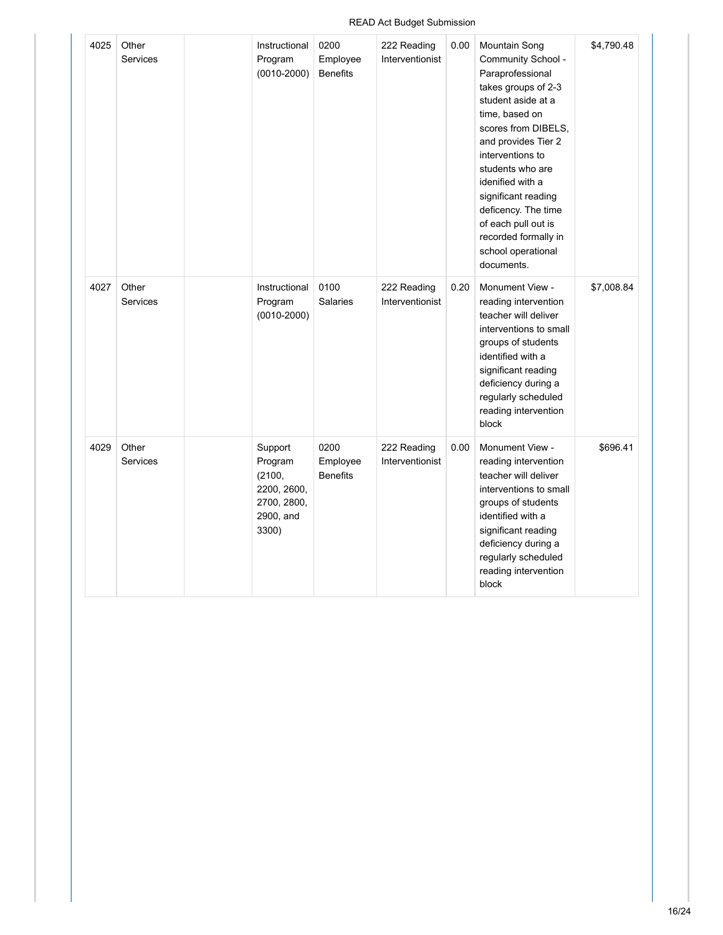| 4025 | Other<br><b>Services</b> | Instructional<br>Program<br>$(0010 - 2000)$                                      | 0200<br>Employee<br><b>Benefits</b> | 222 Reading<br>Interventionist | 0.00 | <b>Mountain Song</b><br>Community School -<br>Paraprofessional<br>takes groups of 2-3<br>student aside at a<br>time, based on<br>scores from DIBELS,<br>and provides Tier 2<br>interventions to<br>students who are<br>idenified with a<br>significant reading<br>deficency. The time<br>of each pull out is<br>recorded formally in<br>school operational<br>documents. | \$4,790.48 |
|------|--------------------------|----------------------------------------------------------------------------------|-------------------------------------|--------------------------------|------|--------------------------------------------------------------------------------------------------------------------------------------------------------------------------------------------------------------------------------------------------------------------------------------------------------------------------------------------------------------------------|------------|
| 4027 | Other<br><b>Services</b> | Instructional<br>Program<br>$(0010 - 2000)$                                      | 0100<br><b>Salaries</b>             | 222 Reading<br>Interventionist | 0.20 | Monument View -<br>reading intervention<br>teacher will deliver<br>interventions to small<br>groups of students<br>identified with a<br>significant reading<br>deficiency during a<br>regularly scheduled<br>reading intervention<br>block                                                                                                                               | \$7,008.84 |
| 4029 | Other<br><b>Services</b> | Support<br>Program<br>(2100,<br>2200, 2600,<br>2700, 2800,<br>2900, and<br>3300) | 0200<br>Employee<br><b>Benefits</b> | 222 Reading<br>Interventionist | 0.00 | Monument View -<br>reading intervention<br>teacher will deliver<br>interventions to small<br>groups of students<br>identified with a<br>significant reading<br>deficiency during a<br>regularly scheduled<br>reading intervention<br>block                                                                                                                               | \$696.41   |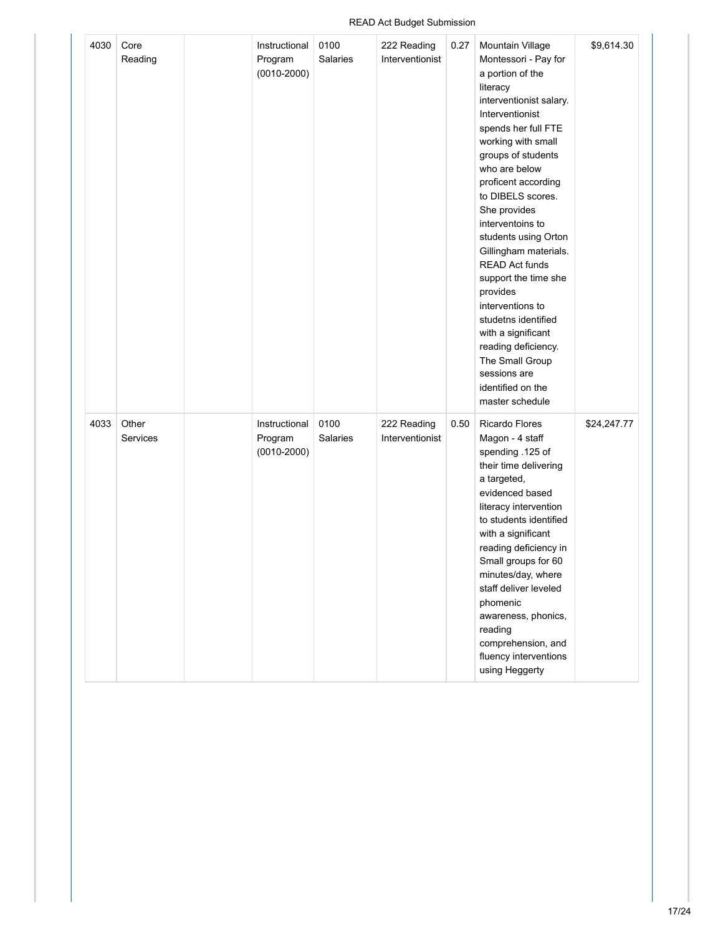| 4030 | Core<br>Reading   | Instructional<br>Program<br>$(0010 - 2000)$ | 0100<br><b>Salaries</b> | 222 Reading<br>Interventionist | 0.27 | Mountain Village<br>Montessori - Pay for<br>a portion of the<br>literacy<br>interventionist salary.<br>Interventionist<br>spends her full FTE<br>working with small<br>groups of students<br>who are below<br>proficent according<br>to DIBELS scores.<br>She provides<br>interventoins to<br>students using Orton<br>Gillingham materials.<br><b>READ Act funds</b><br>support the time she<br>provides<br>interventions to<br>studetns identified<br>with a significant<br>reading deficiency.<br>The Small Group<br>sessions are<br>identified on the<br>master schedule | \$9,614.30  |
|------|-------------------|---------------------------------------------|-------------------------|--------------------------------|------|-----------------------------------------------------------------------------------------------------------------------------------------------------------------------------------------------------------------------------------------------------------------------------------------------------------------------------------------------------------------------------------------------------------------------------------------------------------------------------------------------------------------------------------------------------------------------------|-------------|
| 4033 | Other<br>Services | Instructional<br>Program<br>$(0010 - 2000)$ | 0100<br>Salaries        | 222 Reading<br>Interventionist | 0.50 | <b>Ricardo Flores</b><br>Magon - 4 staff<br>spending .125 of<br>their time delivering<br>a targeted,<br>evidenced based<br>literacy intervention<br>to students identified<br>with a significant<br>reading deficiency in<br>Small groups for 60<br>minutes/day, where<br>staff deliver leveled<br>phomenic<br>awareness, phonics,<br>reading<br>comprehension, and<br>fluency interventions<br>using Heggerty                                                                                                                                                              | \$24,247.77 |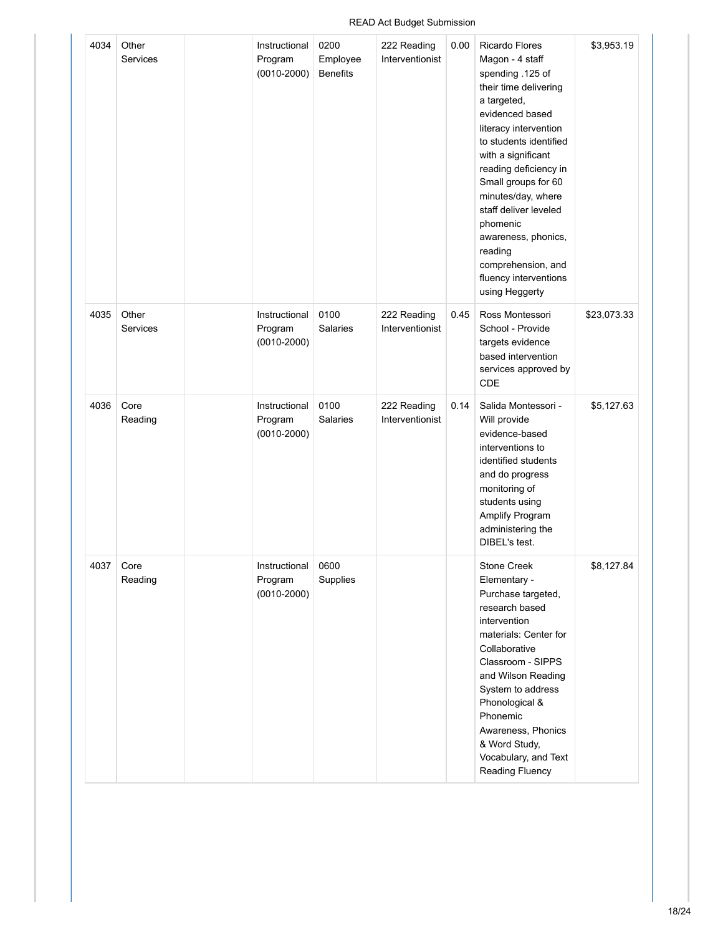| 4034 | Other<br>Services | Instructional<br>Program<br>$(0010 - 2000)$ | 0200<br>Employee<br><b>Benefits</b> | 222 Reading<br>Interventionist | 0.00 | <b>Ricardo Flores</b><br>Magon - 4 staff<br>spending .125 of<br>their time delivering<br>a targeted,<br>evidenced based<br>literacy intervention<br>to students identified<br>with a significant<br>reading deficiency in<br>Small groups for 60<br>minutes/day, where<br>staff deliver leveled<br>phomenic<br>awareness, phonics,<br>reading<br>comprehension, and<br>fluency interventions<br>using Heggerty | \$3,953.19  |
|------|-------------------|---------------------------------------------|-------------------------------------|--------------------------------|------|----------------------------------------------------------------------------------------------------------------------------------------------------------------------------------------------------------------------------------------------------------------------------------------------------------------------------------------------------------------------------------------------------------------|-------------|
| 4035 | Other<br>Services | Instructional<br>Program<br>$(0010 - 2000)$ | 0100<br>Salaries                    | 222 Reading<br>Interventionist | 0.45 | Ross Montessori<br>School - Provide<br>targets evidence<br>based intervention<br>services approved by<br>CDE                                                                                                                                                                                                                                                                                                   | \$23,073.33 |
| 4036 | Core<br>Reading   | Instructional<br>Program<br>$(0010 - 2000)$ | 0100<br>Salaries                    | 222 Reading<br>Interventionist | 0.14 | Salida Montessori -<br>Will provide<br>evidence-based<br>interventions to<br>identified students<br>and do progress<br>monitoring of<br>students using<br>Amplify Program<br>administering the<br>DIBEL's test.                                                                                                                                                                                                | \$5,127.63  |
| 4037 | Core<br>Reading   | Instructional<br>Program<br>$(0010 - 2000)$ | 0600<br>Supplies                    |                                |      | Stone Creek<br>Elementary -<br>Purchase targeted,<br>research based<br>intervention<br>materials: Center for<br>Collaborative<br>Classroom - SIPPS<br>and Wilson Reading<br>System to address<br>Phonological &<br>Phonemic<br>Awareness, Phonics<br>& Word Study,<br>Vocabulary, and Text<br>Reading Fluency                                                                                                  | \$8,127.84  |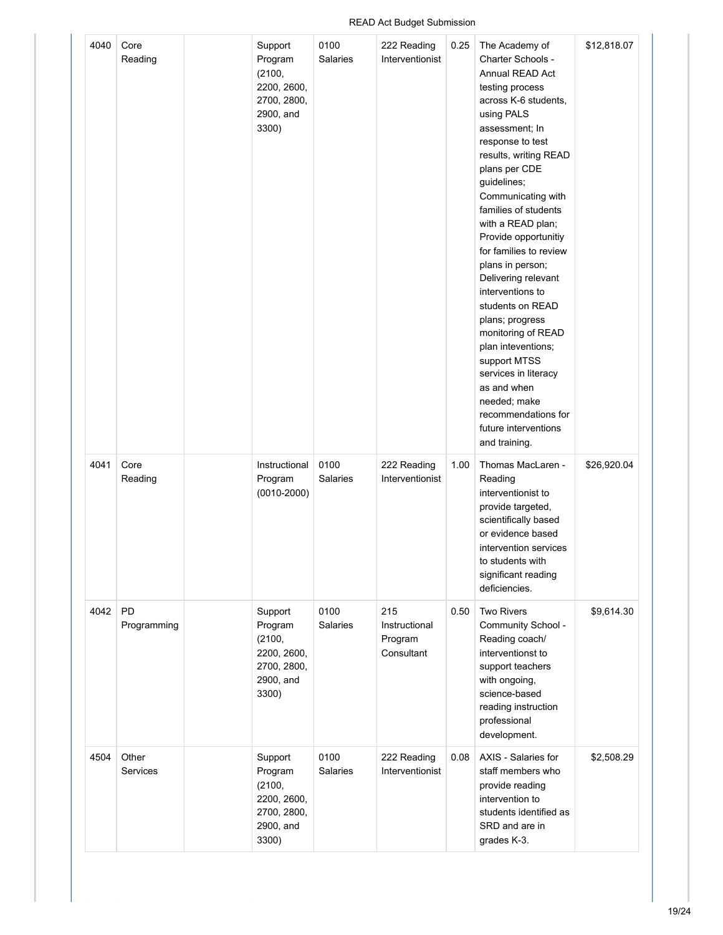| 4040 | Core<br>Reading   | Support<br>Program<br>(2100,<br>2200, 2600,<br>2700, 2800,<br>2900, and<br>3300) | 0100<br>Salaries        | 222 Reading<br>Interventionist                | 0.25 | The Academy of<br>Charter Schools -<br>Annual READ Act<br>testing process<br>across K-6 students,<br>using PALS<br>assessment; In<br>response to test<br>results, writing READ<br>plans per CDE<br>guidelines;<br>Communicating with<br>families of students<br>with a READ plan;<br>Provide opportunitiy<br>for families to review<br>plans in person;<br>Delivering relevant<br>interventions to<br>students on READ<br>plans; progress<br>monitoring of READ<br>plan inteventions;<br>support MTSS<br>services in literacy<br>as and when<br>needed; make<br>recommendations for<br>future interventions<br>and training. | \$12,818.07 |
|------|-------------------|----------------------------------------------------------------------------------|-------------------------|-----------------------------------------------|------|------------------------------------------------------------------------------------------------------------------------------------------------------------------------------------------------------------------------------------------------------------------------------------------------------------------------------------------------------------------------------------------------------------------------------------------------------------------------------------------------------------------------------------------------------------------------------------------------------------------------------|-------------|
| 4041 | Core<br>Reading   | Instructional<br>Program<br>$(0010 - 2000)$                                      | 0100<br>Salaries        | 222 Reading<br>Interventionist                | 1.00 | Thomas MacLaren -<br>Reading<br>interventionist to<br>provide targeted,<br>scientifically based<br>or evidence based<br>intervention services<br>to students with<br>significant reading<br>deficiencies.                                                                                                                                                                                                                                                                                                                                                                                                                    | \$26,920.04 |
| 4042 | PD<br>Programming | Support<br>Program<br>(2100,<br>2200, 2600,<br>2700, 2800,<br>2900, and<br>3300) | 0100<br><b>Salaries</b> | 215<br>Instructional<br>Program<br>Consultant | 0.50 | <b>Two Rivers</b><br>Community School -<br>Reading coach/<br>interventionst to<br>support teachers<br>with ongoing,<br>science-based<br>reading instruction<br>professional<br>development.                                                                                                                                                                                                                                                                                                                                                                                                                                  | \$9,614.30  |
| 4504 | Other<br>Services | Support<br>Program<br>(2100,<br>2200, 2600,<br>2700, 2800,<br>2900, and<br>3300) | 0100<br>Salaries        | 222 Reading<br>Interventionist                | 0.08 | AXIS - Salaries for<br>staff members who<br>provide reading<br>intervention to<br>students identified as<br>SRD and are in<br>grades K-3.                                                                                                                                                                                                                                                                                                                                                                                                                                                                                    | \$2,508.29  |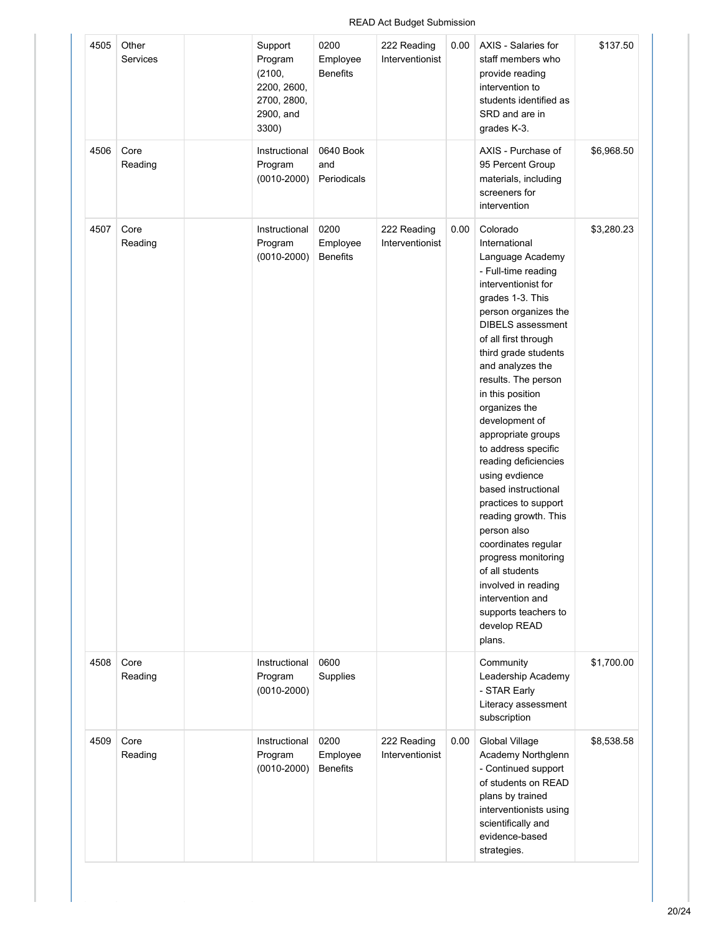| 4505 | Other<br>Services | Support<br>Program<br>(2100,<br>2200, 2600,<br>2700, 2800,<br>2900, and<br>3300) | 0200<br>Employee<br><b>Benefits</b> | 222 Reading<br>Interventionist | 0.00 | AXIS - Salaries for<br>staff members who<br>provide reading<br>intervention to<br>students identified as<br>SRD and are in<br>grades K-3.                                                                                                                                                                                                                                                                                                                                                                                                                                                                                                                        | \$137.50   |
|------|-------------------|----------------------------------------------------------------------------------|-------------------------------------|--------------------------------|------|------------------------------------------------------------------------------------------------------------------------------------------------------------------------------------------------------------------------------------------------------------------------------------------------------------------------------------------------------------------------------------------------------------------------------------------------------------------------------------------------------------------------------------------------------------------------------------------------------------------------------------------------------------------|------------|
| 4506 | Core<br>Reading   | Instructional<br>Program<br>$(0010 - 2000)$                                      | 0640 Book<br>and<br>Periodicals     |                                |      | AXIS - Purchase of<br>95 Percent Group<br>materials, including<br>screeners for<br>intervention                                                                                                                                                                                                                                                                                                                                                                                                                                                                                                                                                                  | \$6,968.50 |
| 4507 | Core<br>Reading   | Instructional<br>Program<br>$(0010 - 2000)$                                      | 0200<br>Employee<br><b>Benefits</b> | 222 Reading<br>Interventionist | 0.00 | Colorado<br>International<br>Language Academy<br>- Full-time reading<br>interventionist for<br>grades 1-3. This<br>person organizes the<br><b>DIBELS</b> assessment<br>of all first through<br>third grade students<br>and analyzes the<br>results. The person<br>in this position<br>organizes the<br>development of<br>appropriate groups<br>to address specific<br>reading deficiencies<br>using evdience<br>based instructional<br>practices to support<br>reading growth. This<br>person also<br>coordinates regular<br>progress monitoring<br>of all students<br>involved in reading<br>intervention and<br>supports teachers to<br>develop READ<br>plans. | \$3,280.23 |
| 4508 | Core<br>Reading   | Instructional<br>Program<br>$(0010 - 2000)$                                      | 0600<br>Supplies                    |                                |      | Community<br>Leadership Academy<br>- STAR Early<br>Literacy assessment<br>subscription                                                                                                                                                                                                                                                                                                                                                                                                                                                                                                                                                                           | \$1,700.00 |
| 4509 | Core<br>Reading   | Instructional<br>Program<br>$(0010 - 2000)$                                      | 0200<br>Employee<br><b>Benefits</b> | 222 Reading<br>Interventionist | 0.00 | Global Village<br>Academy Northglenn<br>- Continued support<br>of students on READ<br>plans by trained<br>interventionists using<br>scientifically and<br>evidence-based<br>strategies.                                                                                                                                                                                                                                                                                                                                                                                                                                                                          | \$8,538.58 |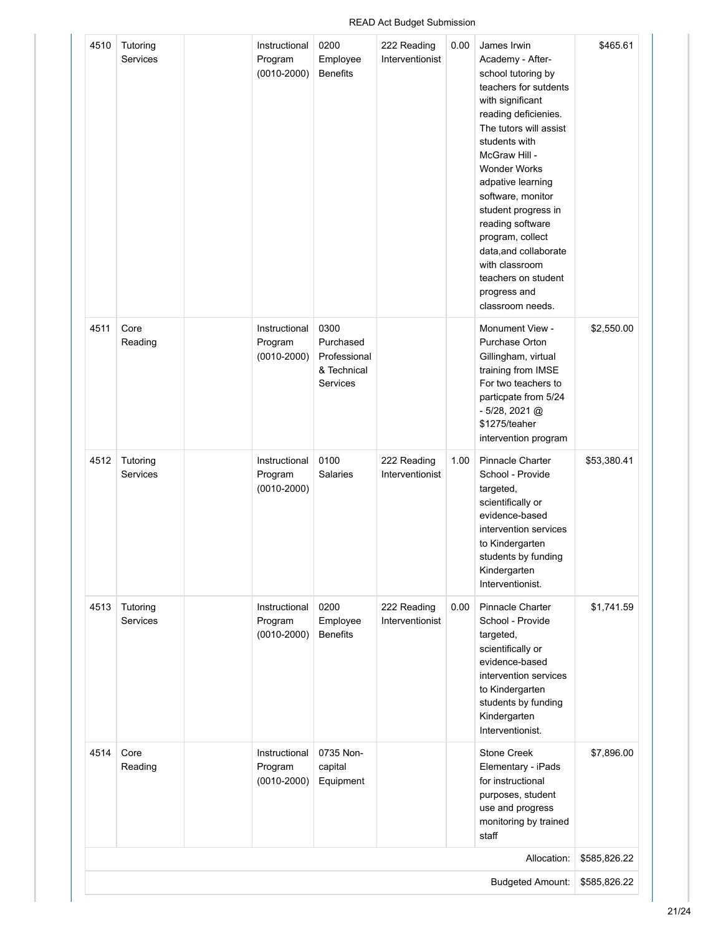#### 4510 Tutoring Services Instructional Program (0010-2000) 0200 Employee Benefits 222 Reading Interventionist 0.00 James Irwin Academy - Afterschool tutoring by teachers for sutdents with significant reading deficienies. The tutors will assist students with McGraw Hill - Wonder Works adpative learning software, monitor student progress in reading software program, collect data,and collaborate with classroom teachers on student progress and classroom needs. \$465.61 4511 Core Reading Instructional Program (0010-2000) 0300 Purchased Professional & Technical Services Monument View - Purchase Orton Gillingham, virtual training from IMSE For two teachers to particpate from 5/24  $-5/28$ , 2021  $@$ \$1275/teaher intervention program \$2,550.00 4512 Tutoring Services Instructional Program (0010-2000) 0100 Salaries 222 Reading Interventionist 1.00 Pinnacle Charter School - Provide targeted, scientifically or evidence-based intervention services to Kindergarten students by funding Kindergarten Interventionist. \$53,380.41 4513 Tutoring Services Instructional Program (0010-2000) 0200 Employee Benefits 222 Reading Interventionist 0.00 Pinnacle Charter School - Provide targeted, scientifically or evidence-based intervention services to Kindergarten students by funding Kindergarten Interventionist. \$1,741.59 4514 Core Reading Instructional Program (0010-2000) 0735 Noncapital Equipment Stone Creek Elementary - iPads for instructional purposes, student use and progress monitoring by trained staff \$7,896.00 Allocation: \$585,826.22 Budgeted Amount: \$585,826.22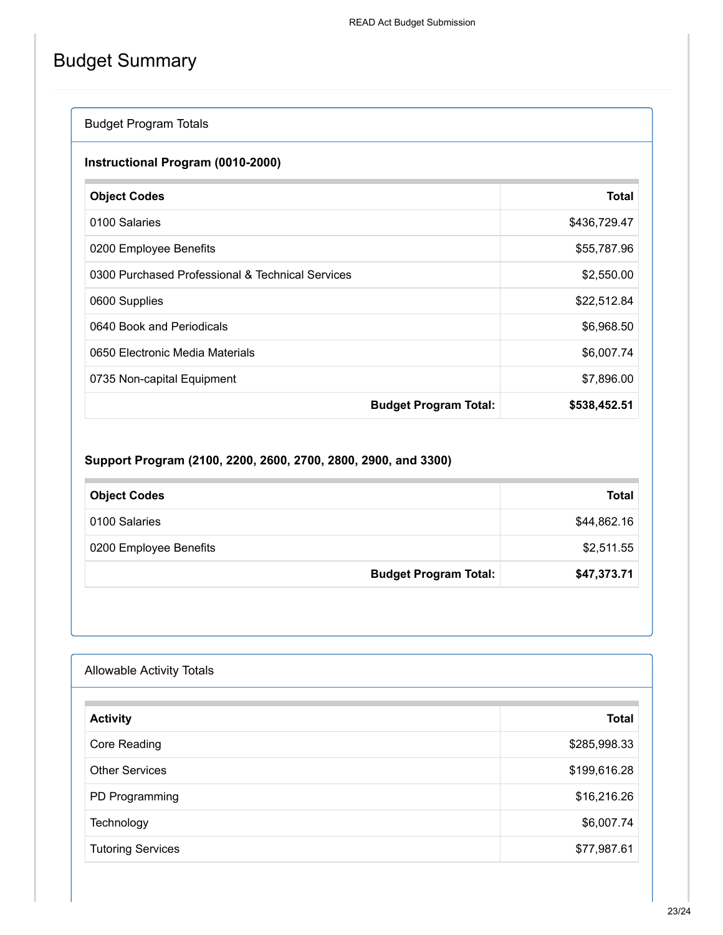# Budget Summary

### Budget Program Totals

### **Instructional Program (0010-2000)**

| <b>Object Codes</b>                              | <b>Total</b> |
|--------------------------------------------------|--------------|
| 0100 Salaries                                    | \$436,729.47 |
| 0200 Employee Benefits                           | \$55,787.96  |
| 0300 Purchased Professional & Technical Services | \$2,550.00   |
| 0600 Supplies                                    | \$22,512.84  |
| 0640 Book and Periodicals                        | \$6,968.50   |
| 0650 Electronic Media Materials                  | \$6,007.74   |
| 0735 Non-capital Equipment                       | \$7,896.00   |
| <b>Budget Program Total:</b>                     | \$538,452.51 |

### **Support Program (2100, 2200, 2600, 2700, 2800, 2900, and 3300)**

| <b>Object Codes</b>          | <b>Total</b> |
|------------------------------|--------------|
| 0100 Salaries                | \$44,862.16  |
| 0200 Employee Benefits       | \$2,511.55   |
| <b>Budget Program Total:</b> | \$47,373.71  |

| <b>Allowable Activity Totals</b> |              |
|----------------------------------|--------------|
| <b>Activity</b>                  | <b>Total</b> |
| Core Reading                     | \$285,998.33 |
| <b>Other Services</b>            | \$199,616.28 |
| PD Programming                   | \$16,216.26  |
| Technology                       | \$6,007.74   |
| <b>Tutoring Services</b>         | \$77,987.61  |